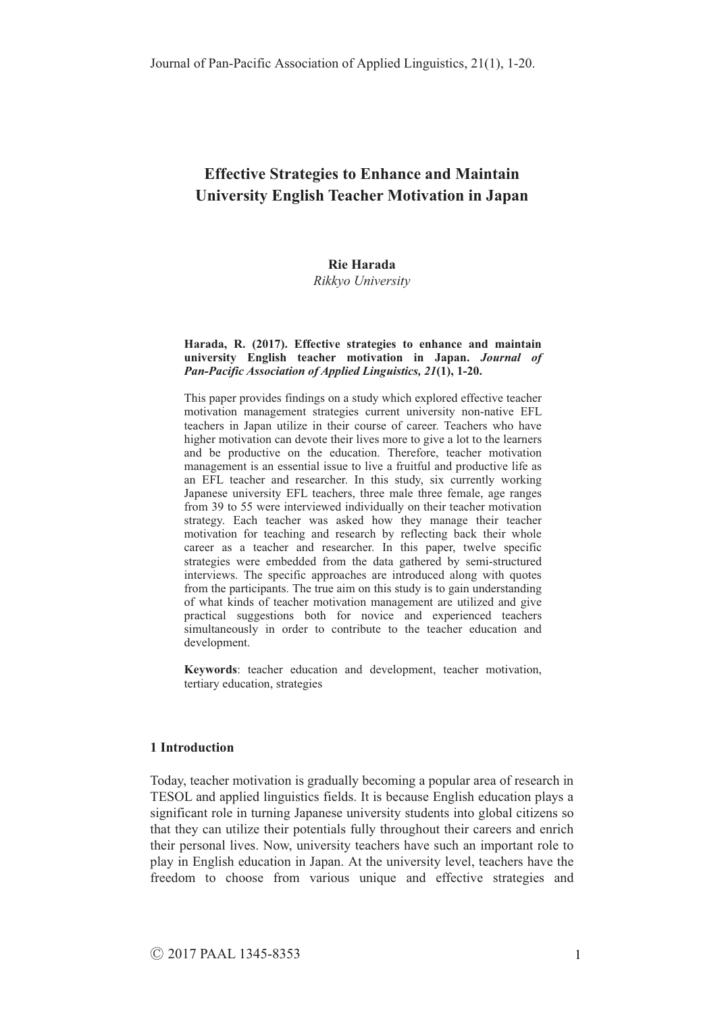# **Rie Harada**

*Rikkyo University* 

#### **Harada, R. (2017). Effective strategies to enhance and maintain university English teacher motivation in Japan.** *Journal of Pan-Pacific Association of Applied Linguistics, 21***(1), 1-20.**

This paper provides findings on a study which explored effective teacher motivation management strategies current university non-native EFL teachers in Japan utilize in their course of career. Teachers who have higher motivation can devote their lives more to give a lot to the learners and be productive on the education. Therefore, teacher motivation management is an essential issue to live a fruitful and productive life as an EFL teacher and researcher. In this study, six currently working Japanese university EFL teachers, three male three female, age ranges from 39 to 55 were interviewed individually on their teacher motivation strategy. Each teacher was asked how they manage their teacher motivation for teaching and research by reflecting back their whole career as a teacher and researcher. In this paper, twelve specific strategies were embedded from the data gathered by semi-structured interviews. The specific approaches are introduced along with quotes from the participants. The true aim on this study is to gain understanding of what kinds of teacher motivation management are utilized and give practical suggestions both for novice and experienced teachers simultaneously in order to contribute to the teacher education and development.

**Keywords**: teacher education and development, teacher motivation, tertiary education, strategies

#### **1 Introduction**

Today, teacher motivation is gradually becoming a popular area of research in TESOL and applied linguistics fields. It is because English education plays a significant role in turning Japanese university students into global citizens so that they can utilize their potentials fully throughout their careers and enrich their personal lives. Now, university teachers have such an important role to play in English education in Japan. At the university level, teachers have the freedom to choose from various unique and effective strategies and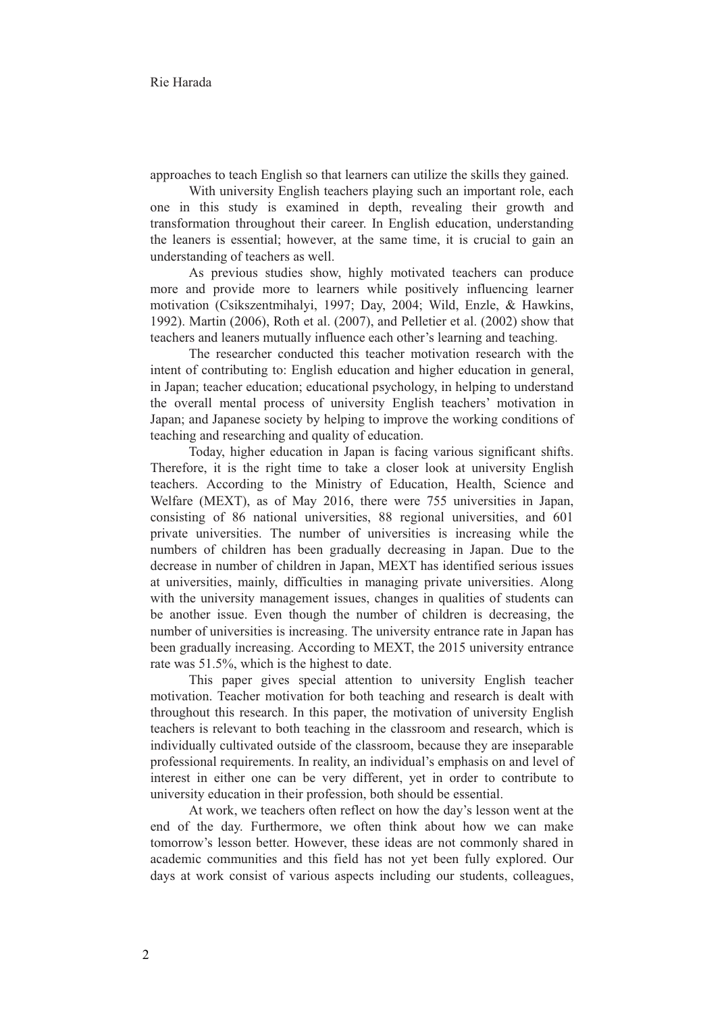approaches to teach English so that learners can utilize the skills they gained.

With university English teachers playing such an important role, each one in this study is examined in depth, revealing their growth and transformation throughout their career. In English education, understanding the leaners is essential; however, at the same time, it is crucial to gain an understanding of teachers as well.

As previous studies show, highly motivated teachers can produce more and provide more to learners while positively influencing learner motivation (Csikszentmihalyi, 1997; Day, 2004; Wild, Enzle, & Hawkins, 1992). Martin (2006), Roth et al. (2007), and Pelletier et al. (2002) show that teachers and leaners mutually influence each other's learning and teaching.

The researcher conducted this teacher motivation research with the intent of contributing to: English education and higher education in general, in Japan; teacher education; educational psychology, in helping to understand the overall mental process of university English teachers' motivation in Japan; and Japanese society by helping to improve the working conditions of teaching and researching and quality of education.

Today, higher education in Japan is facing various significant shifts. Therefore, it is the right time to take a closer look at university English teachers. According to the Ministry of Education, Health, Science and Welfare (MEXT), as of May 2016, there were 755 universities in Japan, consisting of 86 national universities, 88 regional universities, and 601 private universities. The number of universities is increasing while the numbers of children has been gradually decreasing in Japan. Due to the decrease in number of children in Japan, MEXT has identified serious issues at universities, mainly, difficulties in managing private universities. Along with the university management issues, changes in qualities of students can be another issue. Even though the number of children is decreasing, the number of universities is increasing. The university entrance rate in Japan has been gradually increasing. According to MEXT, the 2015 university entrance rate was 51.5%, which is the highest to date.

This paper gives special attention to university English teacher motivation. Teacher motivation for both teaching and research is dealt with throughout this research. In this paper, the motivation of university English teachers is relevant to both teaching in the classroom and research, which is individually cultivated outside of the classroom, because they are inseparable professional requirements. In reality, an individual's emphasis on and level of interest in either one can be very different, yet in order to contribute to university education in their profession, both should be essential.

At work, we teachers often reflect on how the day's lesson went at the end of the day. Furthermore, we often think about how we can make tomorrow's lesson better. However, these ideas are not commonly shared in academic communities and this field has not yet been fully explored. Our days at work consist of various aspects including our students, colleagues,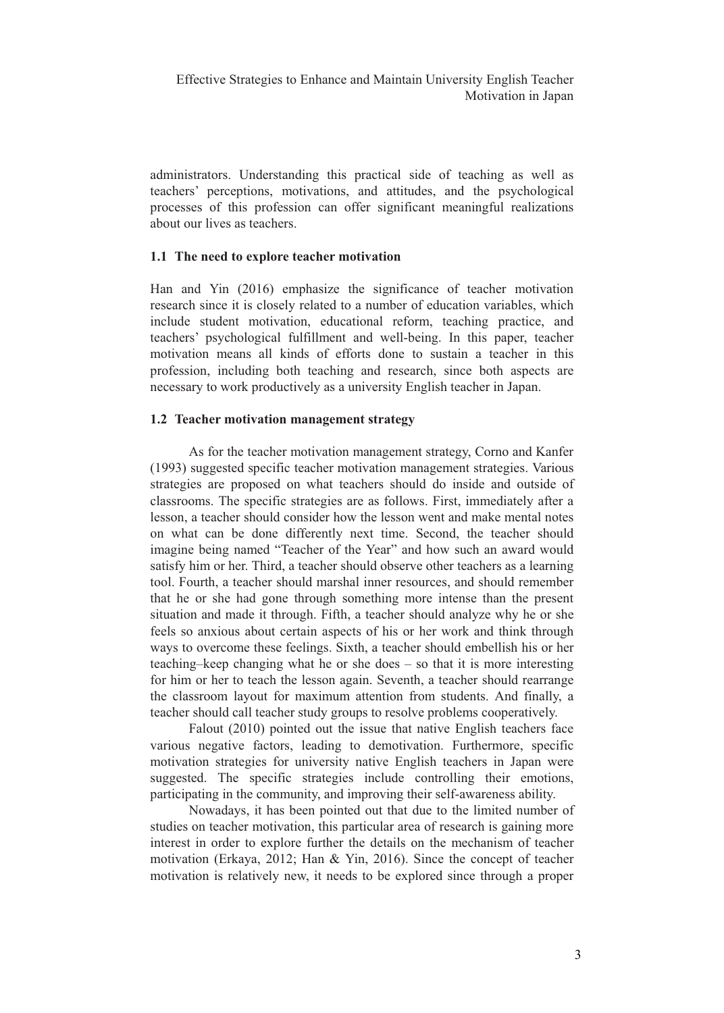administrators. Understanding this practical side of teaching as well as teachers' perceptions, motivations, and attitudes, and the psychological processes of this profession can offer significant meaningful realizations about our lives as teachers.

## **1.1 The need to explore teacher motivation**

Han and Yin (2016) emphasize the significance of teacher motivation research since it is closely related to a number of education variables, which include student motivation, educational reform, teaching practice, and teachers' psychological fulfillment and well-being. In this paper, teacher motivation means all kinds of efforts done to sustain a teacher in this profession, including both teaching and research, since both aspects are necessary to work productively as a university English teacher in Japan.

## **1.2 Teacher motivation management strategy**

As for the teacher motivation management strategy, Corno and Kanfer (1993) suggested specific teacher motivation management strategies. Various strategies are proposed on what teachers should do inside and outside of classrooms. The specific strategies are as follows. First, immediately after a lesson, a teacher should consider how the lesson went and make mental notes on what can be done differently next time. Second, the teacher should imagine being named "Teacher of the Year" and how such an award would satisfy him or her. Third, a teacher should observe other teachers as a learning tool. Fourth, a teacher should marshal inner resources, and should remember that he or she had gone through something more intense than the present situation and made it through. Fifth, a teacher should analyze why he or she feels so anxious about certain aspects of his or her work and think through ways to overcome these feelings. Sixth, a teacher should embellish his or her teaching–keep changing what he or she does – so that it is more interesting for him or her to teach the lesson again. Seventh, a teacher should rearrange the classroom layout for maximum attention from students. And finally, a teacher should call teacher study groups to resolve problems cooperatively.

Falout (2010) pointed out the issue that native English teachers face various negative factors, leading to demotivation. Furthermore, specific motivation strategies for university native English teachers in Japan were suggested. The specific strategies include controlling their emotions, participating in the community, and improving their self-awareness ability.

Nowadays, it has been pointed out that due to the limited number of studies on teacher motivation, this particular area of research is gaining more interest in order to explore further the details on the mechanism of teacher motivation (Erkaya, 2012; Han & Yin, 2016). Since the concept of teacher motivation is relatively new, it needs to be explored since through a proper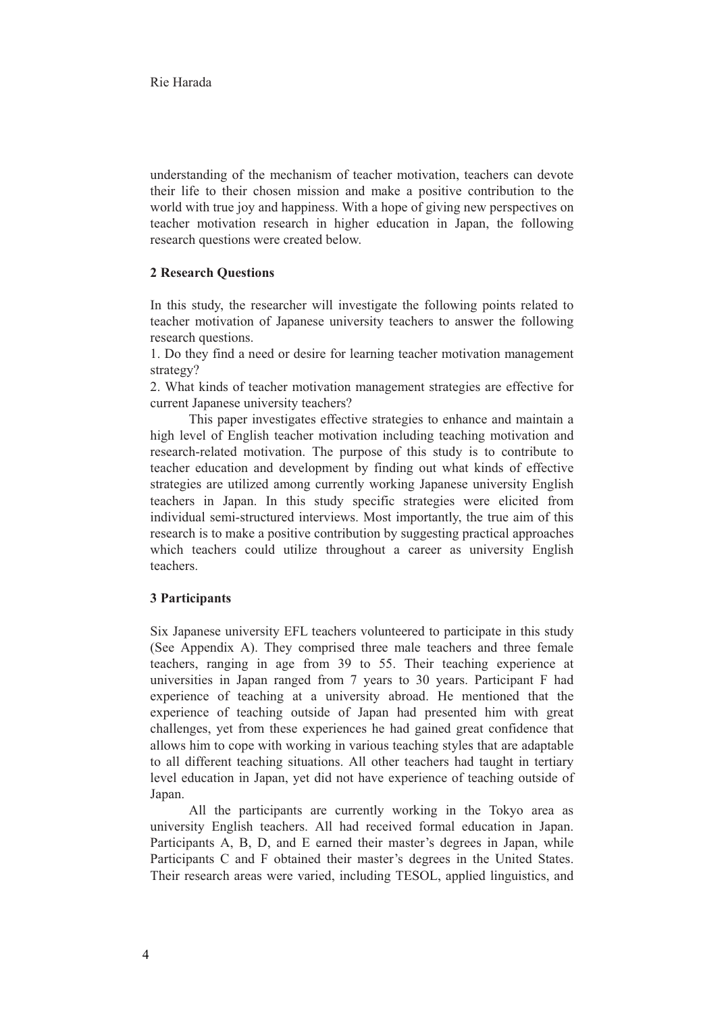understanding of the mechanism of teacher motivation, teachers can devote their life to their chosen mission and make a positive contribution to the world with true joy and happiness. With a hope of giving new perspectives on teacher motivation research in higher education in Japan, the following research questions were created below.

# **2 Research Questions**

In this study, the researcher will investigate the following points related to teacher motivation of Japanese university teachers to answer the following research questions.

1. Do they find a need or desire for learning teacher motivation management strategy?

2. What kinds of teacher motivation management strategies are effective for current Japanese university teachers?

This paper investigates effective strategies to enhance and maintain a high level of English teacher motivation including teaching motivation and research-related motivation. The purpose of this study is to contribute to teacher education and development by finding out what kinds of effective strategies are utilized among currently working Japanese university English teachers in Japan. In this study specific strategies were elicited from individual semi-structured interviews. Most importantly, the true aim of this research is to make a positive contribution by suggesting practical approaches which teachers could utilize throughout a career as university English teachers.

## **3 Participants**

Six Japanese university EFL teachers volunteered to participate in this study (See Appendix A). They comprised three male teachers and three female teachers, ranging in age from 39 to 55. Their teaching experience at universities in Japan ranged from 7 years to 30 years. Participant F had experience of teaching at a university abroad. He mentioned that the experience of teaching outside of Japan had presented him with great challenges, yet from these experiences he had gained great confidence that allows him to cope with working in various teaching styles that are adaptable to all different teaching situations. All other teachers had taught in tertiary level education in Japan, yet did not have experience of teaching outside of Japan.

All the participants are currently working in the Tokyo area as university English teachers. All had received formal education in Japan. Participants A, B, D, and E earned their master's degrees in Japan, while Participants C and F obtained their master's degrees in the United States. Their research areas were varied, including TESOL, applied linguistics, and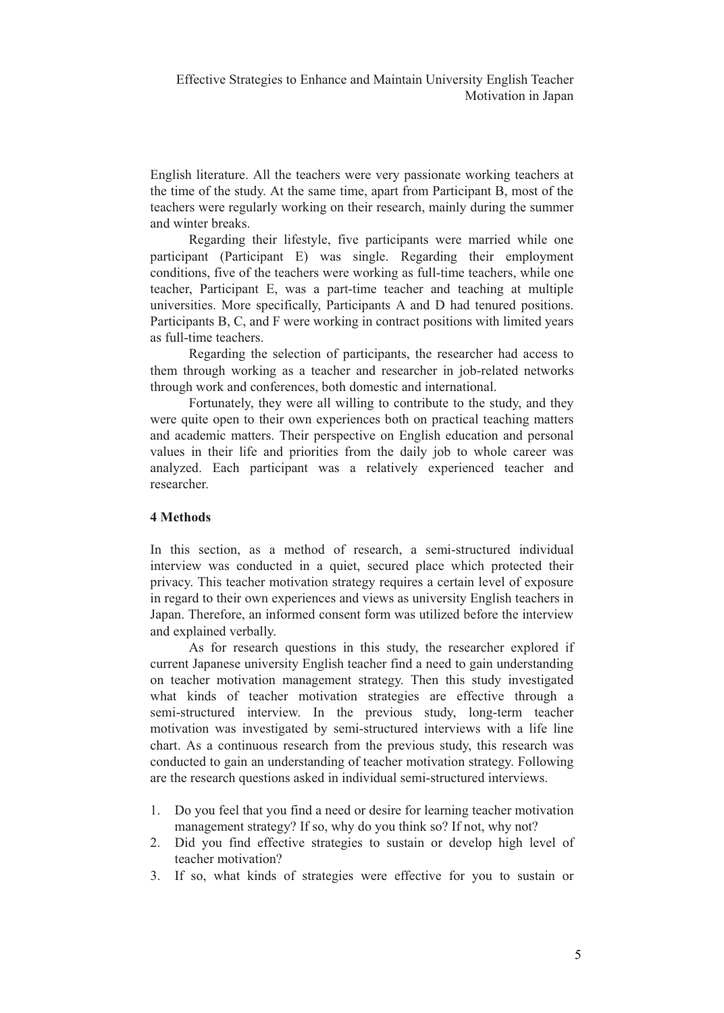English literature. All the teachers were very passionate working teachers at the time of the study. At the same time, apart from Participant B, most of the teachers were regularly working on their research, mainly during the summer and winter breaks.

Regarding their lifestyle, five participants were married while one participant (Participant E) was single. Regarding their employment conditions, five of the teachers were working as full-time teachers, while one teacher, Participant E, was a part-time teacher and teaching at multiple universities. More specifically, Participants A and D had tenured positions. Participants B, C, and F were working in contract positions with limited years as full-time teachers.

Regarding the selection of participants, the researcher had access to them through working as a teacher and researcher in job-related networks through work and conferences, both domestic and international.

Fortunately, they were all willing to contribute to the study, and they were quite open to their own experiences both on practical teaching matters and academic matters. Their perspective on English education and personal values in their life and priorities from the daily job to whole career was analyzed. Each participant was a relatively experienced teacher and researcher.

## **4 Methods**

In this section, as a method of research, a semi-structured individual interview was conducted in a quiet, secured place which protected their privacy. This teacher motivation strategy requires a certain level of exposure in regard to their own experiences and views as university English teachers in Japan. Therefore, an informed consent form was utilized before the interview and explained verbally.

As for research questions in this study, the researcher explored if current Japanese university English teacher find a need to gain understanding on teacher motivation management strategy. Then this study investigated what kinds of teacher motivation strategies are effective through a semi-structured interview. In the previous study, long-term teacher motivation was investigated by semi-structured interviews with a life line chart. As a continuous research from the previous study, this research was conducted to gain an understanding of teacher motivation strategy. Following are the research questions asked in individual semi-structured interviews.

- 1. Do you feel that you find a need or desire for learning teacher motivation management strategy? If so, why do you think so? If not, why not?
- 2. Did you find effective strategies to sustain or develop high level of teacher motivation?
- 3. If so, what kinds of strategies were effective for you to sustain or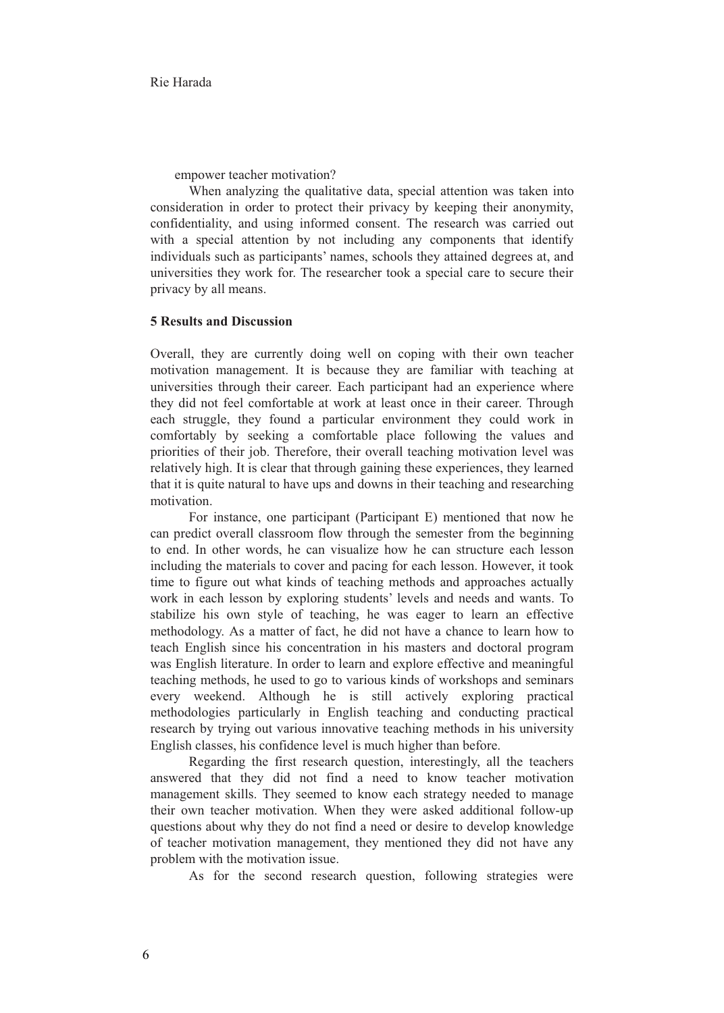empower teacher motivation?

When analyzing the qualitative data, special attention was taken into consideration in order to protect their privacy by keeping their anonymity, confidentiality, and using informed consent. The research was carried out with a special attention by not including any components that identify individuals such as participants' names, schools they attained degrees at, and universities they work for. The researcher took a special care to secure their privacy by all means.

## **5 Results and Discussion**

Overall, they are currently doing well on coping with their own teacher motivation management. It is because they are familiar with teaching at universities through their career. Each participant had an experience where they did not feel comfortable at work at least once in their career. Through each struggle, they found a particular environment they could work in comfortably by seeking a comfortable place following the values and priorities of their job. Therefore, their overall teaching motivation level was relatively high. It is clear that through gaining these experiences, they learned that it is quite natural to have ups and downs in their teaching and researching motivation.

For instance, one participant (Participant E) mentioned that now he can predict overall classroom flow through the semester from the beginning to end. In other words, he can visualize how he can structure each lesson including the materials to cover and pacing for each lesson. However, it took time to figure out what kinds of teaching methods and approaches actually work in each lesson by exploring students' levels and needs and wants. To stabilize his own style of teaching, he was eager to learn an effective methodology. As a matter of fact, he did not have a chance to learn how to teach English since his concentration in his masters and doctoral program was English literature. In order to learn and explore effective and meaningful teaching methods, he used to go to various kinds of workshops and seminars every weekend. Although he is still actively exploring practical methodologies particularly in English teaching and conducting practical research by trying out various innovative teaching methods in his university English classes, his confidence level is much higher than before.

Regarding the first research question, interestingly, all the teachers answered that they did not find a need to know teacher motivation management skills. They seemed to know each strategy needed to manage their own teacher motivation. When they were asked additional follow-up questions about why they do not find a need or desire to develop knowledge of teacher motivation management, they mentioned they did not have any problem with the motivation issue.

As for the second research question, following strategies were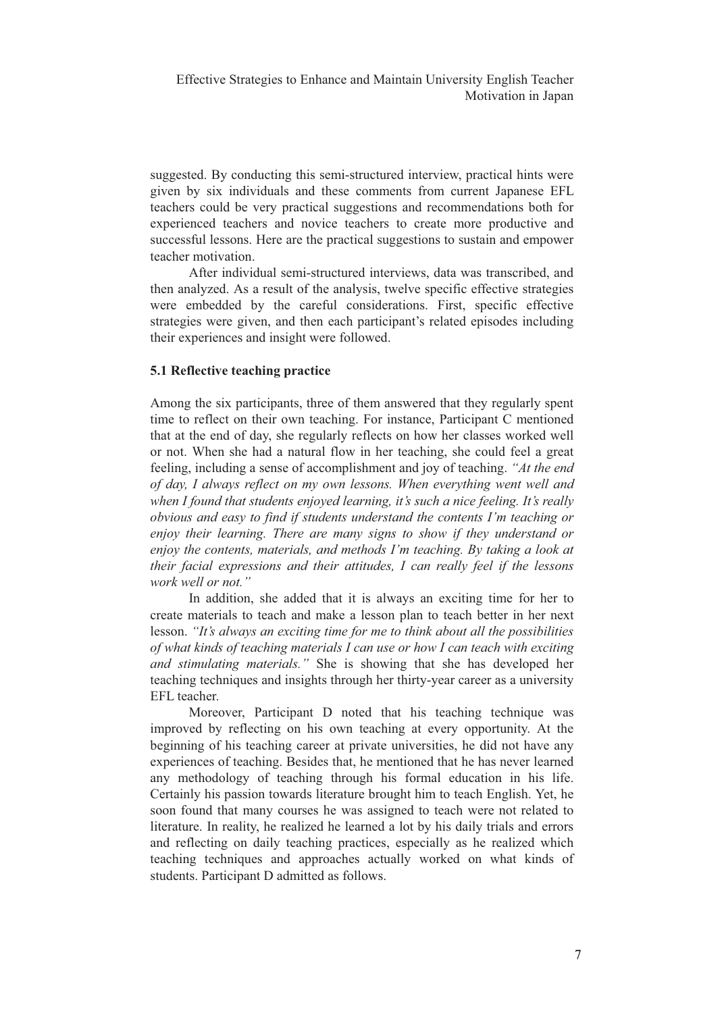suggested. By conducting this semi-structured interview, practical hints were given by six individuals and these comments from current Japanese EFL teachers could be very practical suggestions and recommendations both for experienced teachers and novice teachers to create more productive and successful lessons. Here are the practical suggestions to sustain and empower teacher motivation.

After individual semi-structured interviews, data was transcribed, and then analyzed. As a result of the analysis, twelve specific effective strategies were embedded by the careful considerations. First, specific effective strategies were given, and then each participant's related episodes including their experiences and insight were followed.

## **5.1 Reflective teaching practice**

Among the six participants, three of them answered that they regularly spent time to reflect on their own teaching. For instance, Participant C mentioned that at the end of day, she regularly reflects on how her classes worked well or not. When she had a natural flow in her teaching, she could feel a great feeling, including a sense of accomplishment and joy of teaching. *"At the end of day, I always reflect on my own lessons. When everything went well and when I found that students enjoyed learning, it's such a nice feeling. It's really obvious and easy to find if students understand the contents I'm teaching or enjoy their learning. There are many signs to show if they understand or enjoy the contents, materials, and methods I'm teaching. By taking a look at their facial expressions and their attitudes, I can really feel if the lessons work well or not."* 

In addition, she added that it is always an exciting time for her to create materials to teach and make a lesson plan to teach better in her next lesson. *"It's always an exciting time for me to think about all the possibilities of what kinds of teaching materials I can use or how I can teach with exciting and stimulating materials."* She is showing that she has developed her teaching techniques and insights through her thirty-year career as a university EFL teacher.

Moreover, Participant D noted that his teaching technique was improved by reflecting on his own teaching at every opportunity. At the beginning of his teaching career at private universities, he did not have any experiences of teaching. Besides that, he mentioned that he has never learned any methodology of teaching through his formal education in his life. Certainly his passion towards literature brought him to teach English. Yet, he soon found that many courses he was assigned to teach were not related to literature. In reality, he realized he learned a lot by his daily trials and errors and reflecting on daily teaching practices, especially as he realized which teaching techniques and approaches actually worked on what kinds of students. Participant D admitted as follows.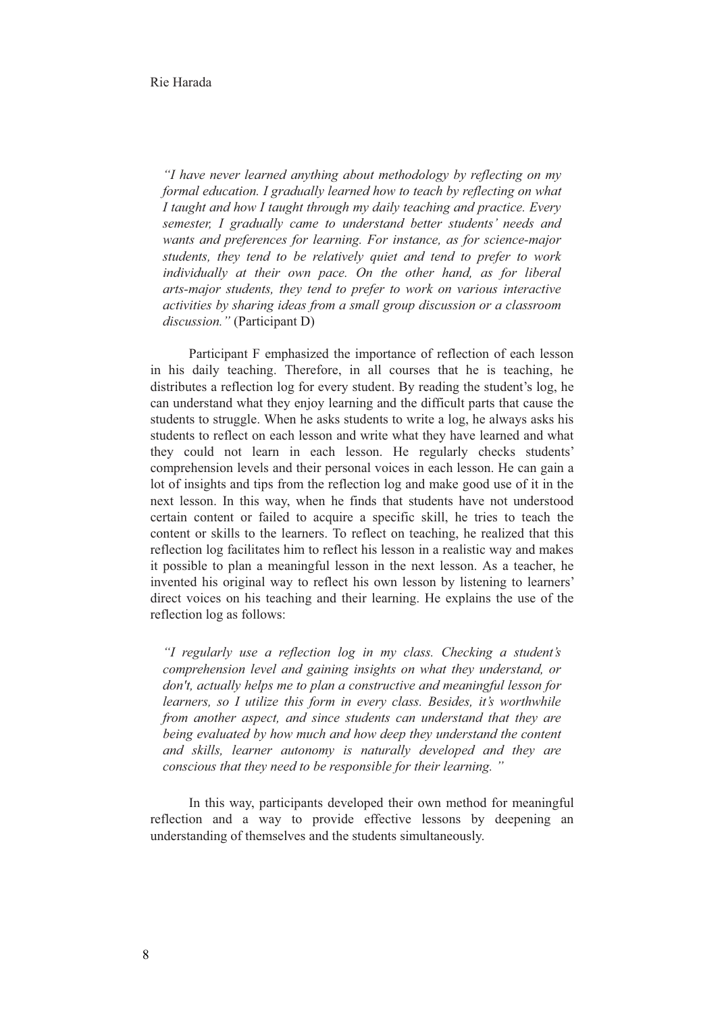*"I have never learned anything about methodology by reflecting on my formal education. I gradually learned how to teach by reflecting on what I taught and how I taught through my daily teaching and practice. Every semester, I gradually came to understand better students' needs and wants and preferences for learning. For instance, as for science-major students, they tend to be relatively quiet and tend to prefer to work individually at their own pace. On the other hand, as for liberal arts-major students, they tend to prefer to work on various interactive activities by sharing ideas from a small group discussion or a classroom discussion."* (Participant D)

Participant F emphasized the importance of reflection of each lesson in his daily teaching. Therefore, in all courses that he is teaching, he distributes a reflection log for every student. By reading the student's log, he can understand what they enjoy learning and the difficult parts that cause the students to struggle. When he asks students to write a log, he always asks his students to reflect on each lesson and write what they have learned and what they could not learn in each lesson. He regularly checks students' comprehension levels and their personal voices in each lesson. He can gain a lot of insights and tips from the reflection log and make good use of it in the next lesson. In this way, when he finds that students have not understood certain content or failed to acquire a specific skill, he tries to teach the content or skills to the learners. To reflect on teaching, he realized that this reflection log facilitates him to reflect his lesson in a realistic way and makes it possible to plan a meaningful lesson in the next lesson. As a teacher, he invented his original way to reflect his own lesson by listening to learners' direct voices on his teaching and their learning. He explains the use of the reflection log as follows:

*"I regularly use a reflection log in my class. Checking a student's comprehension level and gaining insights on what they understand, or don't, actually helps me to plan a constructive and meaningful lesson for learners, so I utilize this form in every class. Besides, it's worthwhile from another aspect, and since students can understand that they are being evaluated by how much and how deep they understand the content and skills, learner autonomy is naturally developed and they are conscious that they need to be responsible for their learning. "* 

In this way, participants developed their own method for meaningful reflection and a way to provide effective lessons by deepening an understanding of themselves and the students simultaneously.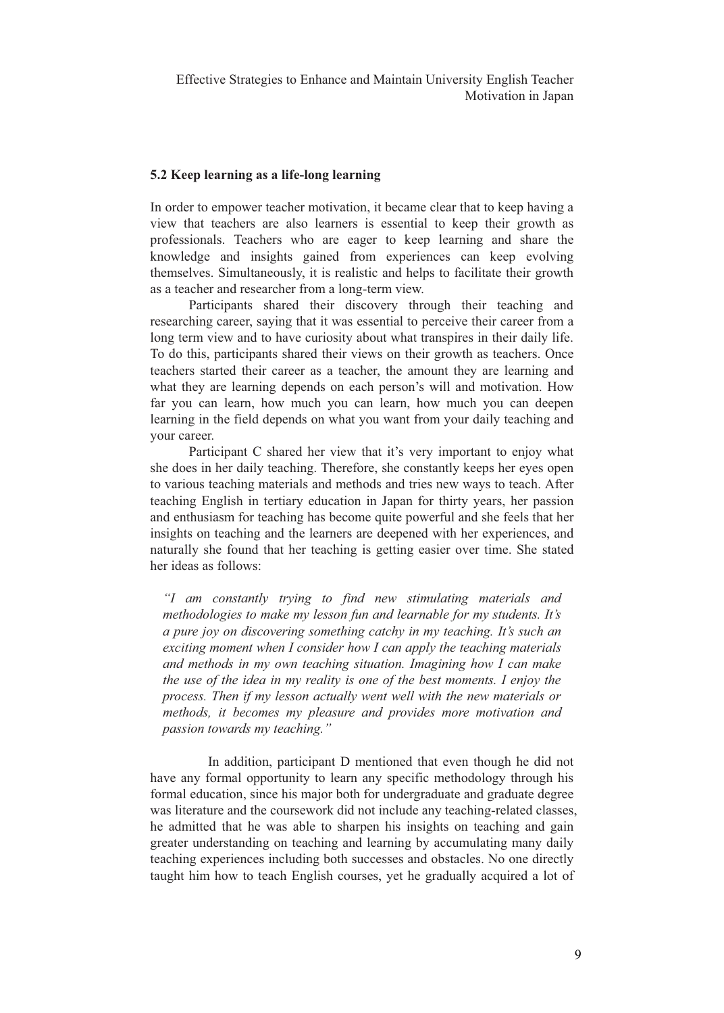## **5.2 Keep learning as a life-long learning**

In order to empower teacher motivation, it became clear that to keep having a view that teachers are also learners is essential to keep their growth as professionals. Teachers who are eager to keep learning and share the knowledge and insights gained from experiences can keep evolving themselves. Simultaneously, it is realistic and helps to facilitate their growth as a teacher and researcher from a long-term view.

Participants shared their discovery through their teaching and researching career, saying that it was essential to perceive their career from a long term view and to have curiosity about what transpires in their daily life. To do this, participants shared their views on their growth as teachers. Once teachers started their career as a teacher, the amount they are learning and what they are learning depends on each person's will and motivation. How far you can learn, how much you can learn, how much you can deepen learning in the field depends on what you want from your daily teaching and your career.

Participant C shared her view that it's very important to enjoy what she does in her daily teaching. Therefore, she constantly keeps her eyes open to various teaching materials and methods and tries new ways to teach. After teaching English in tertiary education in Japan for thirty years, her passion and enthusiasm for teaching has become quite powerful and she feels that her insights on teaching and the learners are deepened with her experiences, and naturally she found that her teaching is getting easier over time. She stated her ideas as follows:

*"I am constantly trying to find new stimulating materials and methodologies to make my lesson fun and learnable for my students. It's a pure joy on discovering something catchy in my teaching. It's such an exciting moment when I consider how I can apply the teaching materials and methods in my own teaching situation. Imagining how I can make the use of the idea in my reality is one of the best moments. I enjoy the process. Then if my lesson actually went well with the new materials or methods, it becomes my pleasure and provides more motivation and passion towards my teaching."*

 In addition, participant D mentioned that even though he did not have any formal opportunity to learn any specific methodology through his formal education, since his major both for undergraduate and graduate degree was literature and the coursework did not include any teaching-related classes, he admitted that he was able to sharpen his insights on teaching and gain greater understanding on teaching and learning by accumulating many daily teaching experiences including both successes and obstacles. No one directly taught him how to teach English courses, yet he gradually acquired a lot of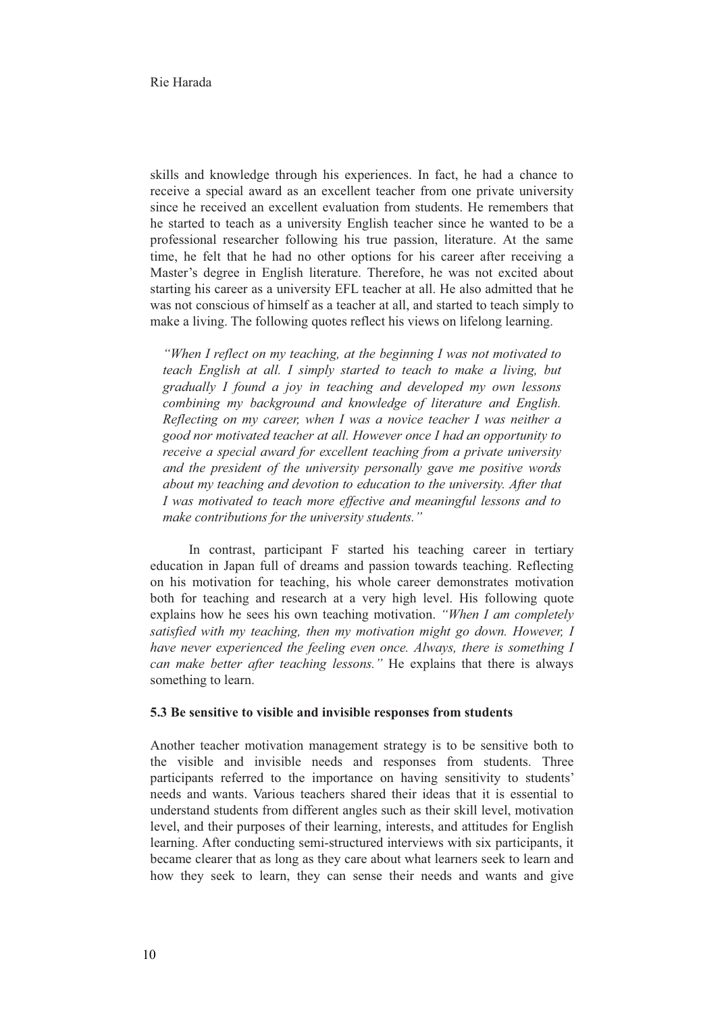skills and knowledge through his experiences. In fact, he had a chance to receive a special award as an excellent teacher from one private university since he received an excellent evaluation from students. He remembers that he started to teach as a university English teacher since he wanted to be a professional researcher following his true passion, literature. At the same time, he felt that he had no other options for his career after receiving a Master's degree in English literature. Therefore, he was not excited about starting his career as a university EFL teacher at all. He also admitted that he was not conscious of himself as a teacher at all, and started to teach simply to make a living. The following quotes reflect his views on lifelong learning.

*"When I reflect on my teaching, at the beginning I was not motivated to teach English at all. I simply started to teach to make a living, but gradually I found a joy in teaching and developed my own lessons combining my background and knowledge of literature and English. Reflecting on my career, when I was a novice teacher I was neither a good nor motivated teacher at all. However once I had an opportunity to receive a special award for excellent teaching from a private university and the president of the university personally gave me positive words about my teaching and devotion to education to the university. After that I was motivated to teach more effective and meaningful lessons and to make contributions for the university students."* 

In contrast, participant F started his teaching career in tertiary education in Japan full of dreams and passion towards teaching. Reflecting on his motivation for teaching, his whole career demonstrates motivation both for teaching and research at a very high level. His following quote explains how he sees his own teaching motivation. *"When I am completely satisfied with my teaching, then my motivation might go down. However, I have never experienced the feeling even once. Always, there is something I can make better after teaching lessons."* He explains that there is always something to learn.

#### **5.3 Be sensitive to visible and invisible responses from students**

Another teacher motivation management strategy is to be sensitive both to the visible and invisible needs and responses from students. Three participants referred to the importance on having sensitivity to students' needs and wants. Various teachers shared their ideas that it is essential to understand students from different angles such as their skill level, motivation level, and their purposes of their learning, interests, and attitudes for English learning. After conducting semi-structured interviews with six participants, it became clearer that as long as they care about what learners seek to learn and how they seek to learn, they can sense their needs and wants and give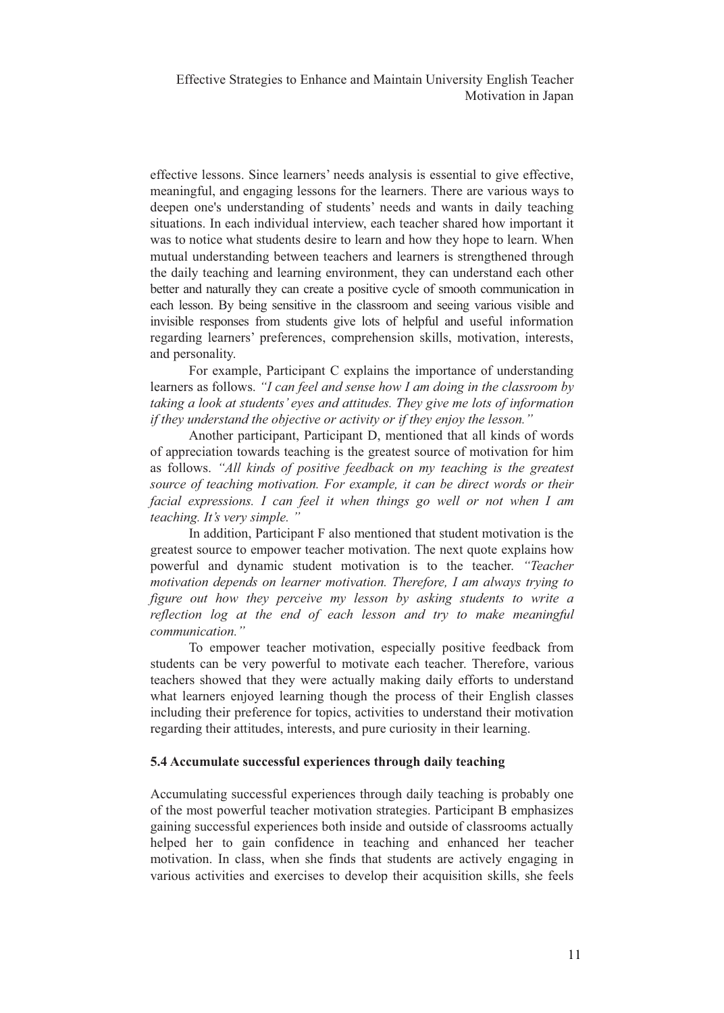effective lessons. Since learners' needs analysis is essential to give effective, meaningful, and engaging lessons for the learners. There are various ways to deepen one's understanding of students' needs and wants in daily teaching situations. In each individual interview, each teacher shared how important it was to notice what students desire to learn and how they hope to learn. When mutual understanding between teachers and learners is strengthened through the daily teaching and learning environment, they can understand each other better and naturally they can create a positive cycle of smooth communication in each lesson. By being sensitive in the classroom and seeing various visible and invisible responses from students give lots of helpful and useful information regarding learners' preferences, comprehension skills, motivation, interests, and personality.

For example, Participant C explains the importance of understanding learners as follows. *"I can feel and sense how I am doing in the classroom by taking a look at students' eyes and attitudes. They give me lots of information if they understand the objective or activity or if they enjoy the lesson."* 

Another participant, Participant D, mentioned that all kinds of words of appreciation towards teaching is the greatest source of motivation for him as follows. *"All kinds of positive feedback on my teaching is the greatest source of teaching motivation. For example, it can be direct words or their facial expressions. I can feel it when things go well or not when I am teaching. It's very simple. "* 

In addition, Participant F also mentioned that student motivation is the greatest source to empower teacher motivation. The next quote explains how powerful and dynamic student motivation is to the teacher. *"Teacher motivation depends on learner motivation. Therefore, I am always trying to figure out how they perceive my lesson by asking students to write a reflection log at the end of each lesson and try to make meaningful communication."* 

To empower teacher motivation, especially positive feedback from students can be very powerful to motivate each teacher. Therefore, various teachers showed that they were actually making daily efforts to understand what learners enjoyed learning though the process of their English classes including their preference for topics, activities to understand their motivation regarding their attitudes, interests, and pure curiosity in their learning.

## **5.4 Accumulate successful experiences through daily teaching**

Accumulating successful experiences through daily teaching is probably one of the most powerful teacher motivation strategies. Participant B emphasizes gaining successful experiences both inside and outside of classrooms actually helped her to gain confidence in teaching and enhanced her teacher motivation. In class, when she finds that students are actively engaging in various activities and exercises to develop their acquisition skills, she feels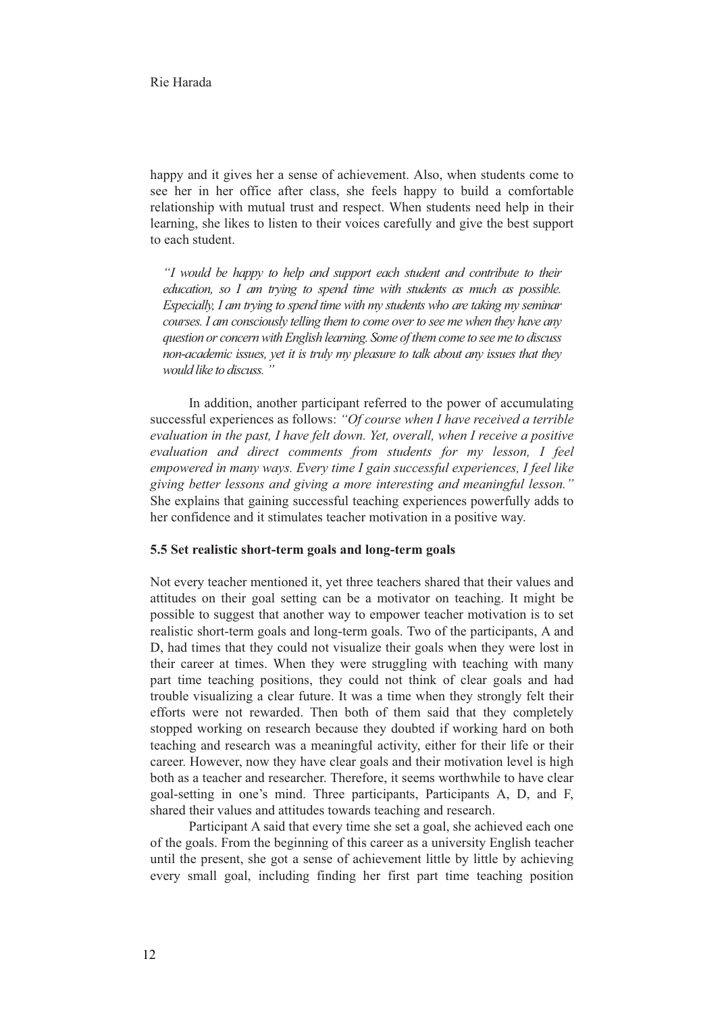happy and it gives her a sense of achievement. Also, when students come to see her in her office after class, she feels happy to build a comfortable relationship with mutual trust and respect. When students need help in their learning, she likes to listen to their voices carefully and give the best support to each student.

*"I would be happy to help and support each student and contribute to their education, so I am trying to spend time with students as much as possible. Especially, I am trying to spend time with my students who are taking my seminar courses. I am consciously telling them to come over to see me when they have any question or concern with English learning. Some of them come to see me to discuss non-academic issues, yet it is truly my pleasure to talk about any issues that they would like to discuss. "* 

In addition, another participant referred to the power of accumulating successful experiences as follows: *"Of course when I have received a terrible evaluation in the past, I have felt down. Yet, overall, when I receive a positive evaluation and direct comments from students for my lesson, I feel empowered in many ways. Every time I gain successful experiences, I feel like giving better lessons and giving a more interesting and meaningful lesson."* She explains that gaining successful teaching experiences powerfully adds to her confidence and it stimulates teacher motivation in a positive way.

## **5.5 Set realistic short-term goals and long-term goals**

Not every teacher mentioned it, yet three teachers shared that their values and attitudes on their goal setting can be a motivator on teaching. It might be possible to suggest that another way to empower teacher motivation is to set realistic short-term goals and long-term goals. Two of the participants, A and D, had times that they could not visualize their goals when they were lost in their career at times. When they were struggling with teaching with many part time teaching positions, they could not think of clear goals and had trouble visualizing a clear future. It was a time when they strongly felt their efforts were not rewarded. Then both of them said that they completely stopped working on research because they doubted if working hard on both teaching and research was a meaningful activity, either for their life or their career. However, now they have clear goals and their motivation level is high both as a teacher and researcher. Therefore, it seems worthwhile to have clear goal-setting in one's mind. Three participants, Participants A, D, and F, shared their values and attitudes towards teaching and research.

Participant A said that every time she set a goal, she achieved each one of the goals. From the beginning of this career as a university English teacher until the present, she got a sense of achievement little by little by achieving every small goal, including finding her first part time teaching position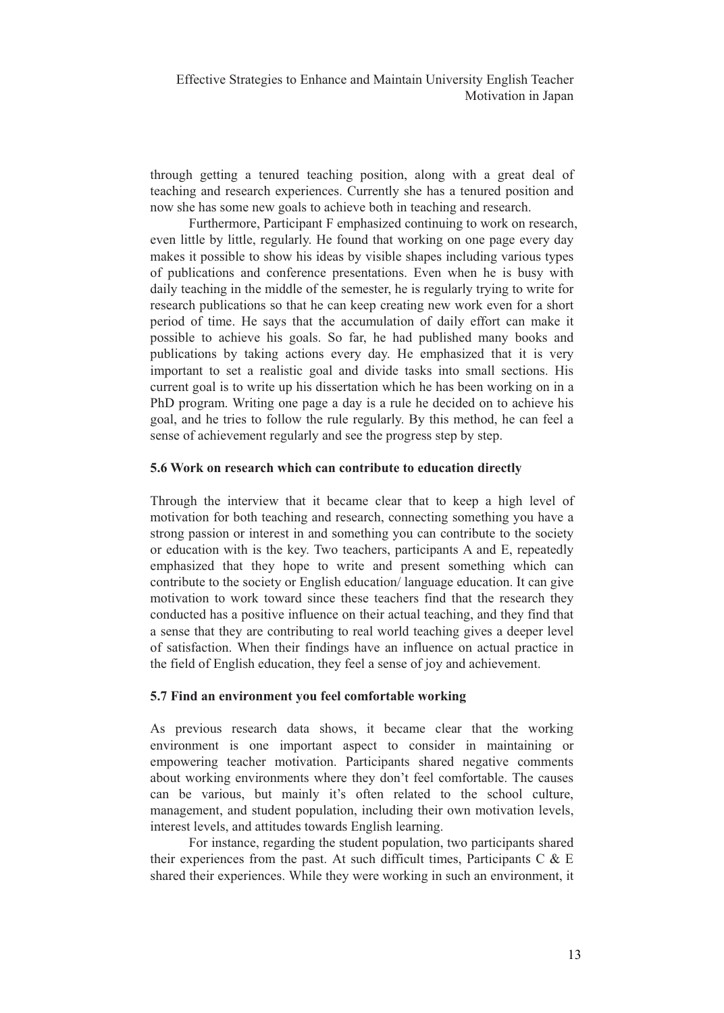through getting a tenured teaching position, along with a great deal of teaching and research experiences. Currently she has a tenured position and now she has some new goals to achieve both in teaching and research.

Furthermore, Participant F emphasized continuing to work on research, even little by little, regularly. He found that working on one page every day makes it possible to show his ideas by visible shapes including various types of publications and conference presentations. Even when he is busy with daily teaching in the middle of the semester, he is regularly trying to write for research publications so that he can keep creating new work even for a short period of time. He says that the accumulation of daily effort can make it possible to achieve his goals. So far, he had published many books and publications by taking actions every day. He emphasized that it is very important to set a realistic goal and divide tasks into small sections. His current goal is to write up his dissertation which he has been working on in a PhD program. Writing one page a day is a rule he decided on to achieve his goal, and he tries to follow the rule regularly. By this method, he can feel a sense of achievement regularly and see the progress step by step.

## **5.6 Work on research which can contribute to education directly**

Through the interview that it became clear that to keep a high level of motivation for both teaching and research, connecting something you have a strong passion or interest in and something you can contribute to the society or education with is the key. Two teachers, participants A and E, repeatedly emphasized that they hope to write and present something which can contribute to the society or English education/ language education. It can give motivation to work toward since these teachers find that the research they conducted has a positive influence on their actual teaching, and they find that a sense that they are contributing to real world teaching gives a deeper level of satisfaction. When their findings have an influence on actual practice in the field of English education, they feel a sense of joy and achievement.

## **5.7 Find an environment you feel comfortable working**

As previous research data shows, it became clear that the working environment is one important aspect to consider in maintaining or empowering teacher motivation. Participants shared negative comments about working environments where they don't feel comfortable. The causes can be various, but mainly it's often related to the school culture, management, and student population, including their own motivation levels, interest levels, and attitudes towards English learning.

For instance, regarding the student population, two participants shared their experiences from the past. At such difficult times, Participants  $C \& E$ shared their experiences. While they were working in such an environment, it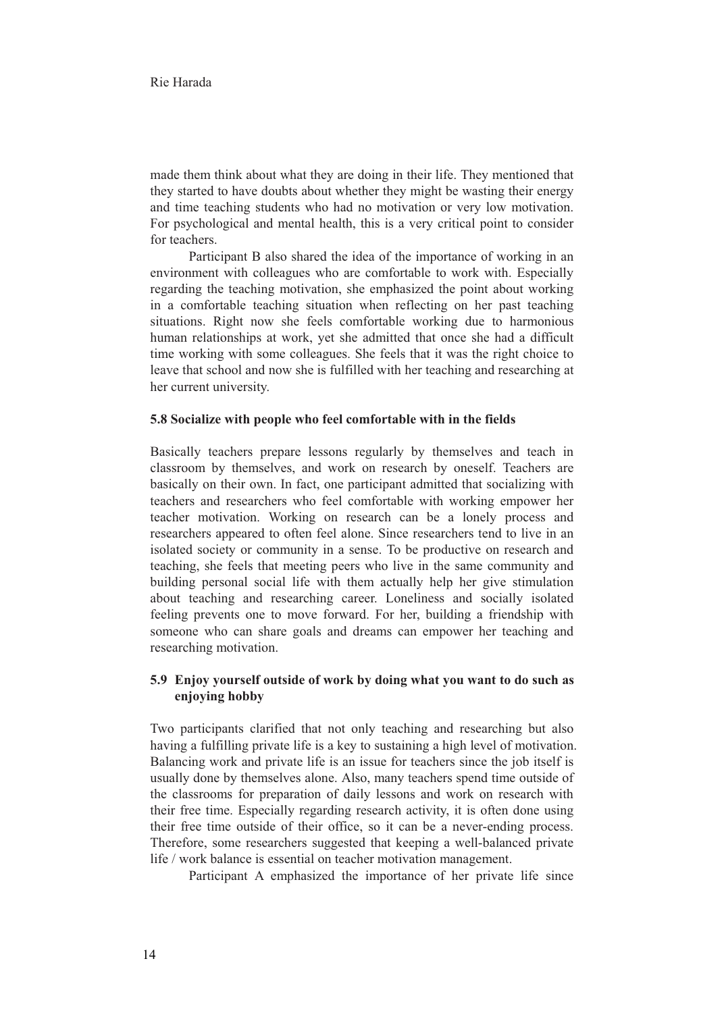made them think about what they are doing in their life. They mentioned that they started to have doubts about whether they might be wasting their energy and time teaching students who had no motivation or very low motivation. For psychological and mental health, this is a very critical point to consider for teachers.

Participant B also shared the idea of the importance of working in an environment with colleagues who are comfortable to work with. Especially regarding the teaching motivation, she emphasized the point about working in a comfortable teaching situation when reflecting on her past teaching situations. Right now she feels comfortable working due to harmonious human relationships at work, yet she admitted that once she had a difficult time working with some colleagues. She feels that it was the right choice to leave that school and now she is fulfilled with her teaching and researching at her current university.

#### **5.8 Socialize with people who feel comfortable with in the fields**

Basically teachers prepare lessons regularly by themselves and teach in classroom by themselves, and work on research by oneself. Teachers are basically on their own. In fact, one participant admitted that socializing with teachers and researchers who feel comfortable with working empower her teacher motivation. Working on research can be a lonely process and researchers appeared to often feel alone. Since researchers tend to live in an isolated society or community in a sense. To be productive on research and teaching, she feels that meeting peers who live in the same community and building personal social life with them actually help her give stimulation about teaching and researching career. Loneliness and socially isolated feeling prevents one to move forward. For her, building a friendship with someone who can share goals and dreams can empower her teaching and researching motivation.

# **5.9 Enjoy yourself outside of work by doing what you want to do such as enjoying hobby**

Two participants clarified that not only teaching and researching but also having a fulfilling private life is a key to sustaining a high level of motivation. Balancing work and private life is an issue for teachers since the job itself is usually done by themselves alone. Also, many teachers spend time outside of the classrooms for preparation of daily lessons and work on research with their free time. Especially regarding research activity, it is often done using their free time outside of their office, so it can be a never-ending process. Therefore, some researchers suggested that keeping a well-balanced private life / work balance is essential on teacher motivation management.

Participant A emphasized the importance of her private life since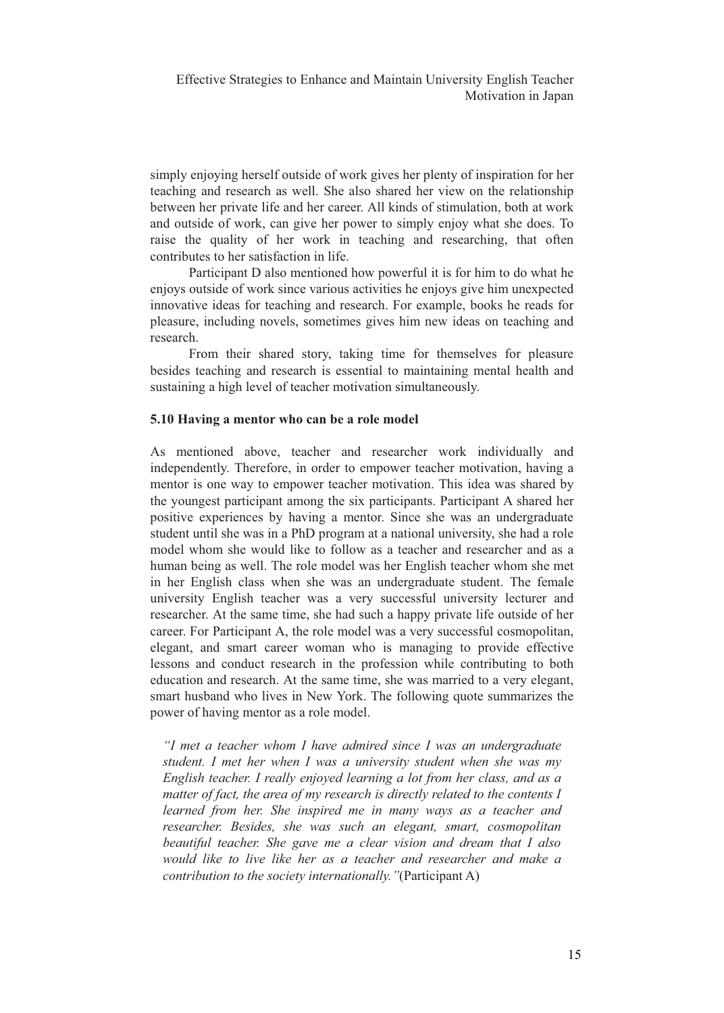simply enjoying herself outside of work gives her plenty of inspiration for her teaching and research as well. She also shared her view on the relationship between her private life and her career. All kinds of stimulation, both at work and outside of work, can give her power to simply enjoy what she does. To raise the quality of her work in teaching and researching, that often contributes to her satisfaction in life.

Participant D also mentioned how powerful it is for him to do what he enjoys outside of work since various activities he enjoys give him unexpected innovative ideas for teaching and research. For example, books he reads for pleasure, including novels, sometimes gives him new ideas on teaching and research.

From their shared story, taking time for themselves for pleasure besides teaching and research is essential to maintaining mental health and sustaining a high level of teacher motivation simultaneously.

## **5.10 Having a mentor who can be a role model**

As mentioned above, teacher and researcher work individually and independently. Therefore, in order to empower teacher motivation, having a mentor is one way to empower teacher motivation. This idea was shared by the youngest participant among the six participants. Participant A shared her positive experiences by having a mentor. Since she was an undergraduate student until she was in a PhD program at a national university, she had a role model whom she would like to follow as a teacher and researcher and as a human being as well. The role model was her English teacher whom she met in her English class when she was an undergraduate student. The female university English teacher was a very successful university lecturer and researcher. At the same time, she had such a happy private life outside of her career. For Participant A, the role model was a very successful cosmopolitan, elegant, and smart career woman who is managing to provide effective lessons and conduct research in the profession while contributing to both education and research. At the same time, she was married to a very elegant, smart husband who lives in New York. The following quote summarizes the power of having mentor as a role model.

*"I met a teacher whom I have admired since I was an undergraduate student. I met her when I was a university student when she was my English teacher. I really enjoyed learning a lot from her class, and as a matter of fact, the area of my research is directly related to the contents I learned from her. She inspired me in many ways as a teacher and researcher. Besides, she was such an elegant, smart, cosmopolitan beautiful teacher. She gave me a clear vision and dream that I also would like to live like her as a teacher and researcher and make a contribution to the society internationally."*(Participant A)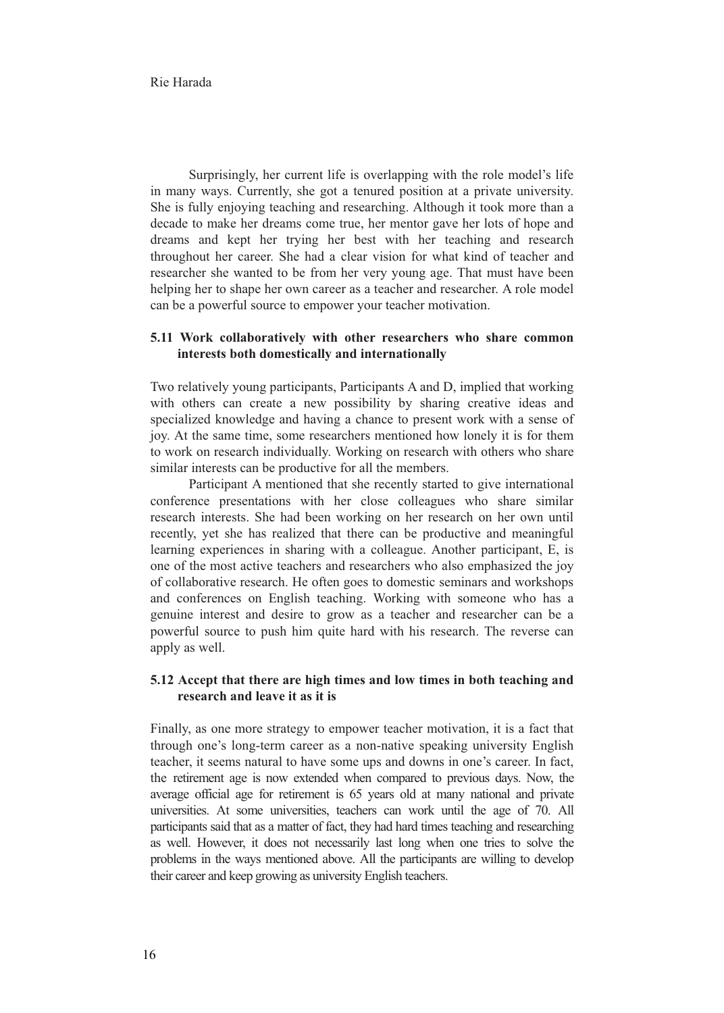Surprisingly, her current life is overlapping with the role model's life in many ways. Currently, she got a tenured position at a private university. She is fully enjoying teaching and researching. Although it took more than a decade to make her dreams come true, her mentor gave her lots of hope and dreams and kept her trying her best with her teaching and research throughout her career. She had a clear vision for what kind of teacher and researcher she wanted to be from her very young age. That must have been helping her to shape her own career as a teacher and researcher. A role model can be a powerful source to empower your teacher motivation.

## **5.11 Work collaboratively with other researchers who share common interests both domestically and internationally**

Two relatively young participants, Participants A and D, implied that working with others can create a new possibility by sharing creative ideas and specialized knowledge and having a chance to present work with a sense of joy. At the same time, some researchers mentioned how lonely it is for them to work on research individually. Working on research with others who share similar interests can be productive for all the members.

Participant A mentioned that she recently started to give international conference presentations with her close colleagues who share similar research interests. She had been working on her research on her own until recently, yet she has realized that there can be productive and meaningful learning experiences in sharing with a colleague. Another participant, E, is one of the most active teachers and researchers who also emphasized the joy of collaborative research. He often goes to domestic seminars and workshops and conferences on English teaching. Working with someone who has a genuine interest and desire to grow as a teacher and researcher can be a powerful source to push him quite hard with his research. The reverse can apply as well.

# **5.12 Accept that there are high times and low times in both teaching and research and leave it as it is**

Finally, as one more strategy to empower teacher motivation, it is a fact that through one's long-term career as a non-native speaking university English teacher, it seems natural to have some ups and downs in one's career. In fact, the retirement age is now extended when compared to previous days. Now, the average official age for retirement is 65 years old at many national and private universities. At some universities, teachers can work until the age of 70. All participants said that as a matter of fact, they had hard times teaching and researching as well. However, it does not necessarily last long when one tries to solve the problems in the ways mentioned above. All the participants are willing to develop their career and keep growing as university English teachers.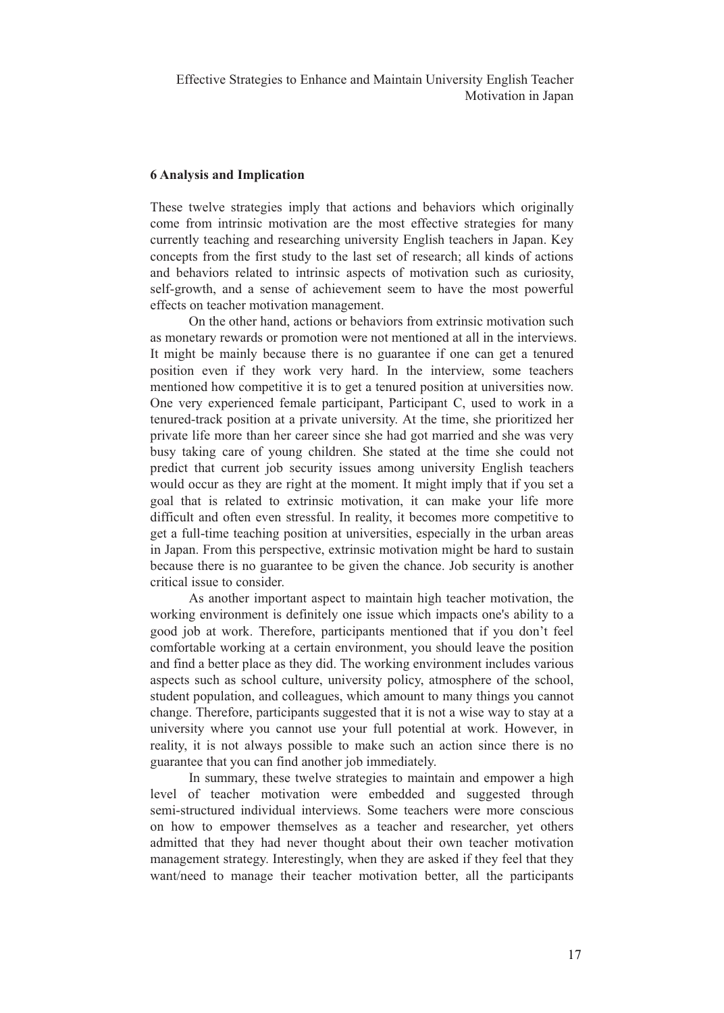## **6 Analysis and Implication**

These twelve strategies imply that actions and behaviors which originally come from intrinsic motivation are the most effective strategies for many currently teaching and researching university English teachers in Japan. Key concepts from the first study to the last set of research; all kinds of actions and behaviors related to intrinsic aspects of motivation such as curiosity, self-growth, and a sense of achievement seem to have the most powerful effects on teacher motivation management.

On the other hand, actions or behaviors from extrinsic motivation such as monetary rewards or promotion were not mentioned at all in the interviews. It might be mainly because there is no guarantee if one can get a tenured position even if they work very hard. In the interview, some teachers mentioned how competitive it is to get a tenured position at universities now. One very experienced female participant, Participant C, used to work in a tenured-track position at a private university. At the time, she prioritized her private life more than her career since she had got married and she was very busy taking care of young children. She stated at the time she could not predict that current job security issues among university English teachers would occur as they are right at the moment. It might imply that if you set a goal that is related to extrinsic motivation, it can make your life more difficult and often even stressful. In reality, it becomes more competitive to get a full-time teaching position at universities, especially in the urban areas in Japan. From this perspective, extrinsic motivation might be hard to sustain because there is no guarantee to be given the chance. Job security is another critical issue to consider.

As another important aspect to maintain high teacher motivation, the working environment is definitely one issue which impacts one's ability to a good job at work. Therefore, participants mentioned that if you don't feel comfortable working at a certain environment, you should leave the position and find a better place as they did. The working environment includes various aspects such as school culture, university policy, atmosphere of the school, student population, and colleagues, which amount to many things you cannot change. Therefore, participants suggested that it is not a wise way to stay at a university where you cannot use your full potential at work. However, in reality, it is not always possible to make such an action since there is no guarantee that you can find another job immediately.

In summary, these twelve strategies to maintain and empower a high level of teacher motivation were embedded and suggested through semi-structured individual interviews. Some teachers were more conscious on how to empower themselves as a teacher and researcher, yet others admitted that they had never thought about their own teacher motivation management strategy. Interestingly, when they are asked if they feel that they want/need to manage their teacher motivation better, all the participants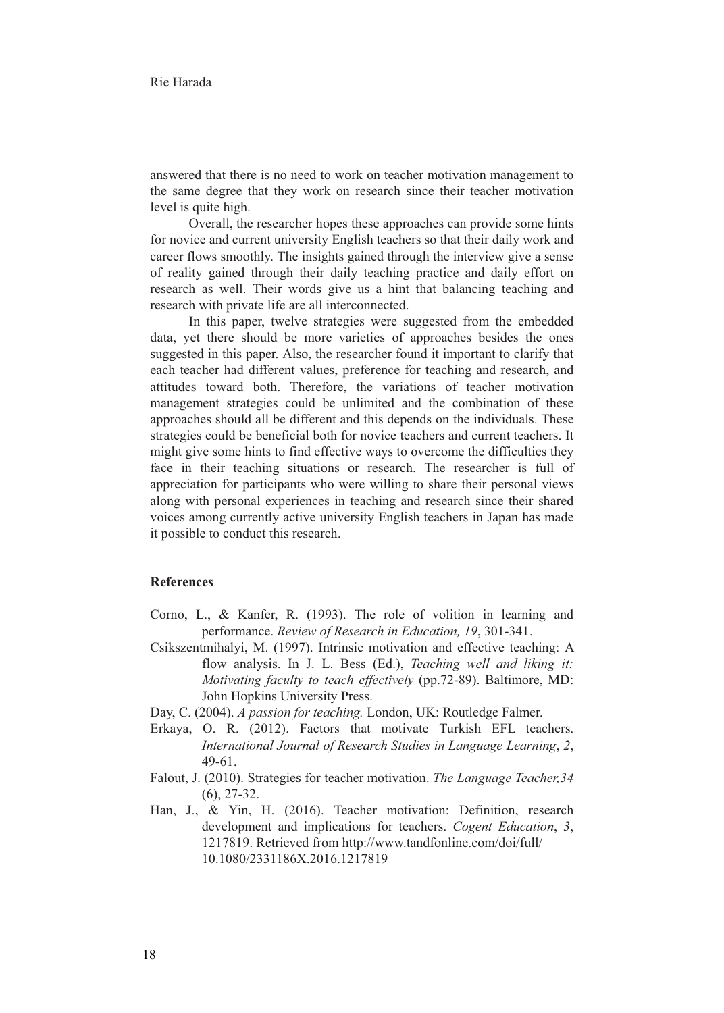answered that there is no need to work on teacher motivation management to the same degree that they work on research since their teacher motivation level is quite high.

Overall, the researcher hopes these approaches can provide some hints for novice and current university English teachers so that their daily work and career flows smoothly. The insights gained through the interview give a sense of reality gained through their daily teaching practice and daily effort on research as well. Their words give us a hint that balancing teaching and research with private life are all interconnected.

In this paper, twelve strategies were suggested from the embedded data, yet there should be more varieties of approaches besides the ones suggested in this paper. Also, the researcher found it important to clarify that each teacher had different values, preference for teaching and research, and attitudes toward both. Therefore, the variations of teacher motivation management strategies could be unlimited and the combination of these approaches should all be different and this depends on the individuals. These strategies could be beneficial both for novice teachers and current teachers. It might give some hints to find effective ways to overcome the difficulties they face in their teaching situations or research. The researcher is full of appreciation for participants who were willing to share their personal views along with personal experiences in teaching and research since their shared voices among currently active university English teachers in Japan has made it possible to conduct this research.

## **References**

- Corno, L., & Kanfer, R. (1993). The role of volition in learning and performance. *Review of Research in Education, 19*, 301-341.
- Csikszentmihalyi, M. (1997). Intrinsic motivation and effective teaching: A flow analysis. In J. L. Bess (Ed.), *Teaching well and liking it: Motivating faculty to teach effectively* (pp.72-89). Baltimore, MD: John Hopkins University Press.
- Day, C. (2004). *A passion for teaching.* London, UK: Routledge Falmer.
- Erkaya, O. R. (2012). Factors that motivate Turkish EFL teachers. *International Journal of Research Studies in Language Learning*, *2*, 49-61.
- Falout, J. (2010). Strategies for teacher motivation. *The Language Teacher,34* (6), 27-32.
- Han, J., & Yin, H. (2016). Teacher motivation: Definition, research development and implications for teachers. *Cogent Education*, *3*, 1217819. Retrieved from http://www.tandfonline.com/doi/full/ 10.1080/2331186X.2016.1217819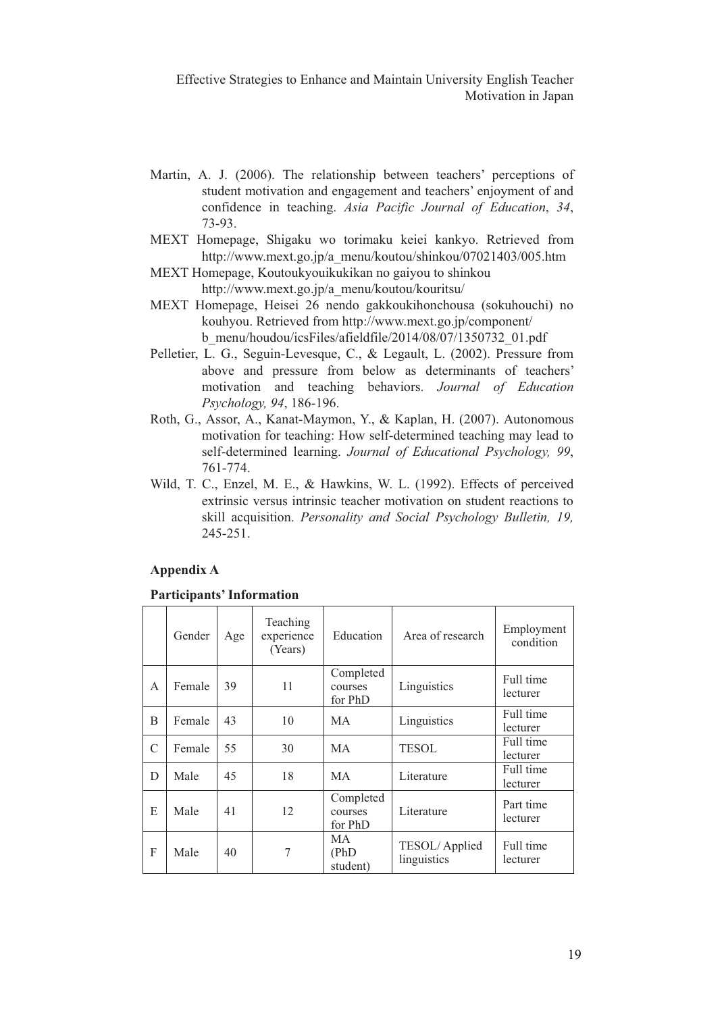- Martin, A. J. (2006). The relationship between teachers' perceptions of student motivation and engagement and teachers' enjoyment of and confidence in teaching. *Asia Pacific Journal of Education*, *34*, 73-93.
- MEXT Homepage, Shigaku wo torimaku keiei kankyo. Retrieved from http://www.mext.go.jp/a\_menu/koutou/shinkou/07021403/005.htm
- MEXT Homepage, Koutoukyouikukikan no gaiyou to shinkou http://www.mext.go.jp/a\_menu/koutou/kouritsu/
- MEXT Homepage, Heisei 26 nendo gakkoukihonchousa (sokuhouchi) no kouhyou. Retrieved from http://www.mext.go.jp/component/ b\_menu/houdou/icsFiles/afieldfile/2014/08/07/1350732\_01.pdf
- Pelletier, L. G., Seguin-Levesque, C., & Legault, L. (2002). Pressure from above and pressure from below as determinants of teachers' motivation and teaching behaviors. *Journal of Education Psychology, 94*, 186-196.
- Roth, G., Assor, A., Kanat-Maymon, Y., & Kaplan, H. (2007). Autonomous motivation for teaching: How self-determined teaching may lead to self-determined learning. *Journal of Educational Psychology, 99*, 761-774.
- Wild, T. C., Enzel, M. E., & Hawkins, W. L. (1992). Effects of perceived extrinsic versus intrinsic teacher motivation on student reactions to skill acquisition. *Personality and Social Psychology Bulletin, 19,* 245-251.

## **Appendix A**

#### **Participants' Information**

|   | Gender | Age | Teaching<br>experience<br>(Years) | Education                       | Area of research             | Employment<br>condition |
|---|--------|-----|-----------------------------------|---------------------------------|------------------------------|-------------------------|
| A | Female | 39  | 11                                | Completed<br>courses<br>for PhD | Linguistics                  | Full time<br>lecturer   |
| B | Female | 43  | 10                                | МA                              | Linguistics                  | Full time<br>lecturer   |
| C | Female | 55  | 30                                | MA                              | <b>TESOL</b>                 | Full time<br>lecturer   |
| D | Male   | 45  | 18                                | MA                              | Literature                   | Full time<br>lecturer   |
| E | Male   | 41  | 12                                | Completed<br>courses<br>for PhD | Literature                   | Part time<br>lecturer   |
| F | Male   | 40  | 7                                 | МA<br>(PhD)<br>student)         | TESOL/Applied<br>linguistics | Full time<br>lecturer   |